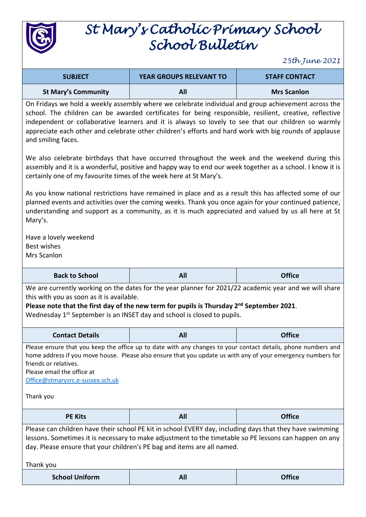

## *St Mary's Catholic Primary School School Bulletin*

*25th June 2021*

| <b>SUBJECT</b>             | <b>YEAR GROUPS RELEVANT TO</b> | <b>STAFF CONTACT</b> |
|----------------------------|--------------------------------|----------------------|
| <b>St Mary's Community</b> | All                            | <b>Mrs Scanlon</b>   |

On Fridays we hold a weekly assembly where we celebrate individual and group achievement across the school. The children can be awarded certificates for being responsible, resilient, creative, reflective independent or collaborative learners and it is always so lovely to see that our children so warmly appreciate each other and celebrate other children's efforts and hard work with big rounds of applause and smiling faces.

We also celebrate birthdays that have occurred throughout the week and the weekend during this assembly and it is a wonderful, positive and happy way to end our week together as a school. I know it is certainly one of my favourite times of the week here at St Mary's.

As you know national restrictions have remained in place and as a result this has affected some of our planned events and activities over the coming weeks. Thank you once again for your continued patience, understanding and support as a community, as it is much appreciated and valued by us all here at St Mary's.

Have a lovely weekend Best wishes Mrs Scanlon

**Back to School All Office**

We are currently working on the dates for the year planner for 2021/22 academic year and we will share this with you as soon as it is available.

**Please note that the first day of the new term for pupils is Thursday 2nd September 2021**.

Wednesday 1<sup>st</sup> September is an INSET day and school is closed to pupils.

| <b>Contact Details</b> | <b>All</b> | <b>Office</b> |
|------------------------|------------|---------------|
|------------------------|------------|---------------|

Please ensure that you keep the office up to date with any changes to your contact details, phone numbers and home address if you move house. Please also ensure that you update us with any of your emergency numbers for friends or relatives.

Please email the office at

[Office@stmarysrc.e-sussex.sch.uk](mailto:Office@stmarysrc.e-sussex.sch.uk)

Thank you

| <b>PE Kits</b>                                                                                                                                                                                                                                                                                | All | <b>Office</b> |
|-----------------------------------------------------------------------------------------------------------------------------------------------------------------------------------------------------------------------------------------------------------------------------------------------|-----|---------------|
| Please can children have their school PE kit in school EVERY day, including days that they have swimming<br>lessons. Sometimes it is necessary to make adjustment to the timetable so PE lessons can happen on any<br>day. Please ensure that your children's PE bag and items are all named. |     |               |
| Thank you                                                                                                                                                                                                                                                                                     |     |               |
| <b>School Uniform</b>                                                                                                                                                                                                                                                                         | All |               |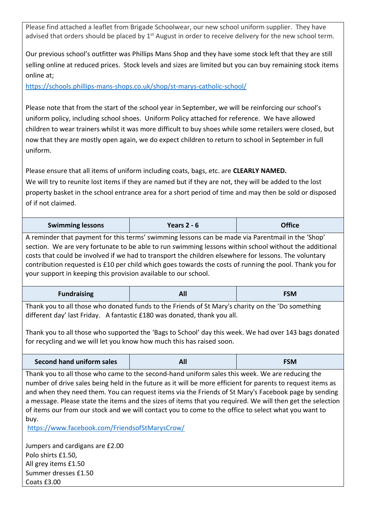Please find attached a leaflet from Brigade Schoolwear, our new school uniform supplier. They have advised that orders should be placed by  $1<sup>st</sup>$  August in order to receive delivery for the new school term.

Our previous school's outfitter was Phillips Mans Shop and they have some stock left that they are still selling online at reduced prices. Stock levels and sizes are limited but you can buy remaining stock items online at;

<https://schools.phillips-mans-shops.co.uk/shop/st-marys-catholic-school/>

Please note that from the start of the school year in September, we will be reinforcing our school's uniform policy, including school shoes. Uniform Policy attached for reference. We have allowed children to wear trainers whilst it was more difficult to buy shoes while some retailers were closed, but now that they are mostly open again, we do expect children to return to school in September in full uniform.

Please ensure that all items of uniform including coats, bags, etc. are **CLEARLY NAMED.**  We will try to reunite lost items if they are named but if they are not, they will be added to the lost property basket in the school entrance area for a short period of time and may then be sold or disposed of if not claimed.

| <b>Swimming lessons</b> | Years $2 - 6$ | <b>Office</b> |
|-------------------------|---------------|---------------|
|-------------------------|---------------|---------------|

A reminder that payment for this terms' swimming lessons can be made via Parentmail in the 'Shop' section. We are very fortunate to be able to run swimming lessons within school without the additional costs that could be involved if we had to transport the children elsewhere for lessons. The voluntary contribution requested is £10 per child which goes towards the costs of running the pool. Thank you for your support in keeping this provision available to our school.

| <b>Fundraising</b> | <u>гчи</u> | <b>FSM</b> |
|--------------------|------------|------------|
|--------------------|------------|------------|

Thank you to all those who donated funds to the Friends of St Mary's charity on the 'Do something different day' last Friday. A fantastic £180 was donated, thank you all.

Thank you to all those who supported the 'Bags to School' day this week. We had over 143 bags donated for recycling and we will let you know how much this has raised soon.

| Second hand uniform sales | All | <b>FSM</b> |
|---------------------------|-----|------------|
|---------------------------|-----|------------|

Thank you to all those who came to the second-hand uniform sales this week. We are reducing the number of drive sales being held in the future as it will be more efficient for parents to request items as and when they need them. You can request items via the Friends of St Mary's Facebook page by sending a message. Please state the items and the sizes of items that you required. We will then get the selection of items our from our stock and we will contact you to come to the office to select what you want to buy.

<https://www.facebook.com/FriendsofStMarysCrow/>

Jumpers and cardigans are £2.00 Polo shirts £1.50, All grey items £1.50 Summer dresses £1.50 Coats £3.00